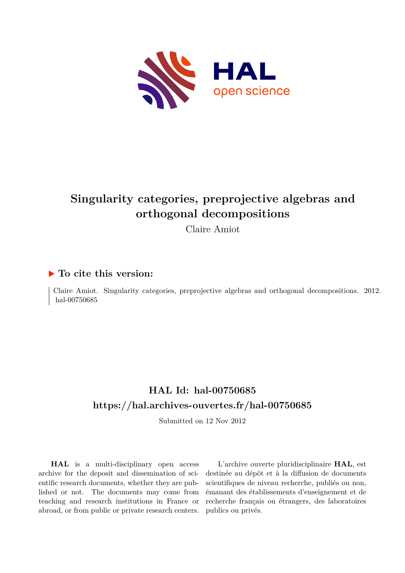

# **Singularity categories, preprojective algebras and orthogonal decompositions**

Claire Amiot

## **To cite this version:**

Claire Amiot. Singularity categories, preprojective algebras and orthogonal decompositions. 2012. hal-00750685

## **HAL Id: hal-00750685 <https://hal.archives-ouvertes.fr/hal-00750685>**

Submitted on 12 Nov 2012

**HAL** is a multi-disciplinary open access archive for the deposit and dissemination of scientific research documents, whether they are published or not. The documents may come from teaching and research institutions in France or abroad, or from public or private research centers.

L'archive ouverte pluridisciplinaire **HAL**, est destinée au dépôt et à la diffusion de documents scientifiques de niveau recherche, publiés ou non, émanant des établissements d'enseignement et de recherche français ou étrangers, des laboratoires publics ou privés.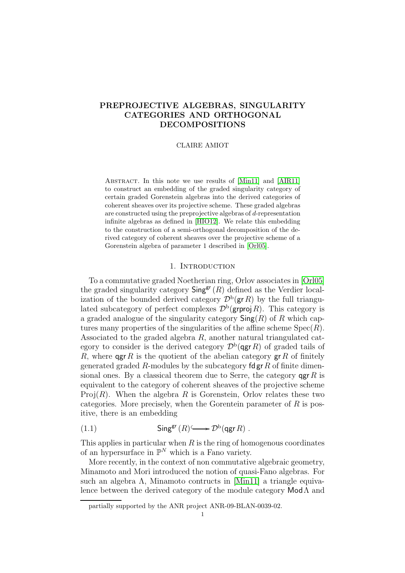## PREPROJECTIVE ALGEBRAS, SINGULARITY CATEGORIES AND ORTHOGONAL DECOMPOSITIONS

## CLAIRE AMIOT

Abstract. In this note we use results of [\[Min11\]](#page-10-0) and [\[AIR11\]](#page-10-1) to construct an embedding of the graded singularity category of certain graded Gorenstein algebras into the derived categories of coherent sheaves over its projective scheme. These graded algebras are constructed using the preprojective algebras of d-representation infinite algebras as defined in [\[HIO12\]](#page-10-2). We relate this embedding to the construction of a semi-orthogonal decomposition of the derived category of coherent sheaves over the projective scheme of a Gorenstein algebra of parameter 1 described in [\[Orl05\]](#page-11-0).

## 1. INTRODUCTION

To a commutative graded Noetherian ring, Orlov associates in [\[Orl05\]](#page-11-0) the graded singularity category  $\mathsf{Sing}^{\mathsf{gr}}(R)$  defined as the Verdier localization of the bounded derived category  $\mathcal{D}^{b}(\mathsf{gr}\,R)$  by the full triangulated subcategory of perfect complexes  $\mathcal{D}^{\rm b}(\text{grproj }R)$ . This category is a graded analogue of the singularity category  $\mathsf{Sing}(R)$  of R which captures many properties of the singularities of the affine scheme  $Spec(R)$ . Associated to the graded algebra  $R$ , another natural triangulated category to consider is the derived category  $\mathcal{D}^{\rm b}(\text{qgr }R)$  of graded tails of R, where  $\operatorname{qgr} R$  is the quotient of the abelian category gr R of finitely generated graded R-modules by the subcategory  $\mathsf{fdgr}\,R$  of finite dimensional ones. By a classical theorem due to Serre, the category  $\gamma$  and  $R$  is equivalent to the category of coherent sheaves of the projective scheme Proj $(R)$ . When the algebra R is Gorenstein, Orlov relates these two categories. More precisely, when the Gorentein parameter of  $R$  is positive, there is an embedding

<span id="page-1-0"></span>(1.1) 
$$
\mathsf{Sing}^{\mathsf{gr}}(R) \longrightarrow \mathcal{D}^{\mathrm{b}}(\mathsf{qgr} R) .
$$

This applies in particular when  $R$  is the ring of homogenous coordinates of an hypersurface in  $\mathbb{P}^N$  which is a Fano variety.

More recently, in the context of non commutative algebraic geometry, Minamoto and Mori introduced the notion of quasi-Fano algebras. For such an algebra  $\Lambda$ , Minamoto contructs in [\[Min11\]](#page-10-0) a triangle equivalence between the derived category of the module category  $\mathsf{Mod}\Lambda$  and

partially supported by the ANR project ANR-09-BLAN-0039-02.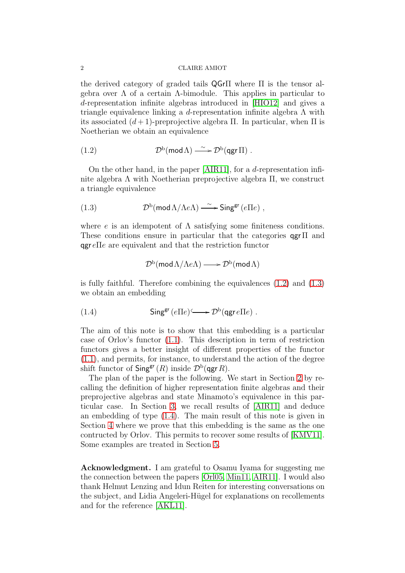#### 2 CLAIRE AMIOT

the derived category of graded tails QGrΠ where Π is the tensor algebra over  $\Lambda$  of a certain  $\Lambda$ -bimodule. This applies in particular to d-representation infinite algebras introduced in [\[HIO12\]](#page-10-2) and gives a triangle equivalence linking a d-representation infinite algebra  $\Lambda$  with its associated  $(d+1)$ -preprojective algebra Π. In particular, when Π is Noetherian we obtain an equivalence

<span id="page-2-0"></span>(1.2) 
$$
\mathcal{D}^{b}(\text{mod }\Lambda) \longrightarrow \mathcal{D}^{b}(\text{qgr }\Pi) .
$$

On the other hand, in the paper [\[AIR11\]](#page-10-1), for a d-representation infinite algebra  $\Lambda$  with Noetherian preprojective algebra  $\Pi$ , we construct a triangle equivalence

(1.3) 
$$
\mathcal{D}^{\rm b}(\text{mod }\Lambda/\Lambda e\Lambda) \longrightarrow \text{Sing}^{\rm gr}(e \Pi e) ,
$$

where  $e$  is an idempotent of  $\Lambda$  satisfying some finiteness conditions. These conditions ensure in particular that the categories qgrΠ and  $qgr e\Pi e$  are equivalent and that the restriction functor

<span id="page-2-2"></span><span id="page-2-1"></span>
$$
\mathcal{D}^{\rm b}(\operatorname{\mathsf{mod}}\Lambda/\Lambda e\Lambda)\longrightarrow \mathcal{D}^{\rm b}(\operatorname{\mathsf{mod}}\Lambda)
$$

is fully faithful. Therefore combining the equivalences [\(1.2\)](#page-2-0) and [\(1.3\)](#page-2-1) we obtain an embedding

(1.4) 
$$
\mathsf{Sing}^{\mathsf{gr}}(e \Pi e) \longrightarrow \mathcal{D}^{\mathsf{b}}(\mathsf{qgr}\, e \Pi e) .
$$

The aim of this note is to show that this embedding is a particular case of Orlov's functor [\(1.1\)](#page-1-0). This description in term of restriction functors gives a better insight of different properties of the functor [\(1.1\)](#page-1-0), and permits, for instance, to understand the action of the degree shift functor of  $\mathsf{Sing}^{\mathsf{gr}}(R)$  inside  $\mathcal{D}^{\rm b}(\mathsf{qgr} R)$ .

The plan of the paper is the following. We start in Section [2](#page-3-0) by recalling the definition of higher representation finite algebras and their preprojective algebras and state Minamoto's equivalence in this particular case. In Section [3,](#page-4-0) we recall results of [\[AIR11\]](#page-10-1) and deduce an embedding of type [\(1.4\)](#page-2-2). The main result of this note is given in Section [4](#page-6-0) where we prove that this embedding is the same as the one contructed by Orlov. This permits to recover some results of [\[KMV11\]](#page-10-3). Some examples are treated in Section [5.](#page-9-0)

Acknowledgment. I am grateful to Osamu Iyama for suggesting me the connection between the papers [\[Orl05,](#page-11-0) [Min11,](#page-10-0) [AIR11\]](#page-10-1). I would also thank Helmut Lenzing and Idun Reiten for interesting conversations on the subject, and Lidia Angeleri-Hügel for explanations on recollements and for the reference [\[AKL11\]](#page-10-4).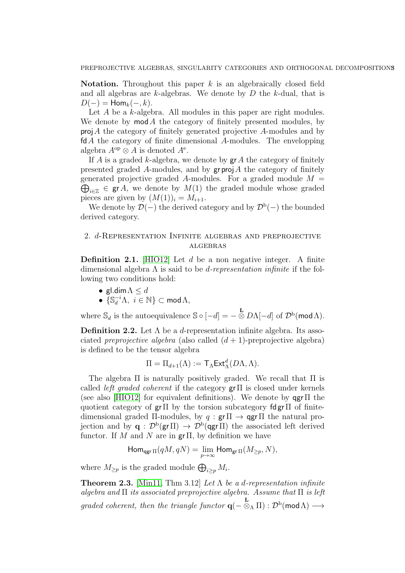Notation. Throughout this paper  $k$  is an algebraically closed field and all algebras are  $k$ -algebras. We denote by  $D$  the  $k$ -dual, that is  $D(-) = \text{Hom}_k(-,k).$ 

Let A be a k-algebra. All modules in this paper are right modules. We denote by  $mod A$  the category of finitely presented modules, by  $proj A$  the category of finitely generated projective A-modules and by fdA the category of finite dimensional A-modules. The envelopping algebra  $A^{\rm op} \otimes A$  is denoted  $A^{\rm e}$ .

If A is a graded k-algebra, we denote by  $grA$  the category of finitely presented graded A-modules, and by  $\operatorname{gr} \operatorname{proj} A$  the category of finitely generated projective graded A-modules. For a graded module  $M =$  $\bigoplus_{i\in\mathbb{Z}}\in \text{gr}\, A$ , we denote by  $M(1)$  the graded module whose graded pieces are given by  $(M(1))_i = M_{i+1}$ .

We denote by  $\mathcal{D}(-)$  the derived category and by  $\mathcal{D}^{b}(-)$  the bounded derived category.

## <span id="page-3-0"></span>2. d-Representation Infinite algebras and preprojective algebras

**Definition 2.1.** [\[HIO12\]](#page-10-2) Let  $d$  be a non negative integer. A finite dimensional algebra  $\Lambda$  is said to be *d-representation infinite* if the following two conditions hold:

- gl.dim  $\Lambda \leq d$
- $\{ \mathbb{S}_d^{-i} \Lambda, i \in \mathbb{N} \} \subset \text{mod} \Lambda,$

where  $\mathbb{S}_d$  is the autoequivalence  $\mathbb{S} \circ [-d] = -\frac{\mathbf{L}}{\otimes} D\Lambda[-d]$  of  $\mathcal{D}^{\rm b}(\mathsf{mod}\Lambda)$ .

Definition 2.2. Let  $\Lambda$  be a *d*-representation infinite algebra. Its associated preprojective algebra (also called  $(d+1)$ -preprojective algebra) is defined to be the tensor algebra

$$
\Pi = \Pi_{d+1}(\Lambda) := \mathsf{T}_{\Lambda} \mathsf{Ext}^d_{\Lambda}(D\Lambda, \Lambda).
$$

The algebra  $\Pi$  is naturally positively graded. We recall that  $\Pi$  is called *left graded coherent* if the category  $gr\pi$  is closed under kernels (see also [\[HIO12\]](#page-10-2) for equivalent definitions). We denote by  $qgr\pi$  the quotient category of  $gr \Pi$  by the torsion subcategory fdgr $\Pi$  of finitedimensional graded  $\Pi$ -modules, by  $q : \text{gr} \Pi \rightarrow \text{agr} \Pi$  the natural projection and by  $\mathbf{q} : \mathcal{D}^{\rm b}(\mathsf{gr}\,\Pi) \to \mathcal{D}^{\rm b}(\mathsf{agr}\,\Pi)$  the associated left derived functor. If M and N are in  $gr\Pi$ , by definition we have

$$
\operatorname{Hom}_{\operatorname{qgr} \Pi}(qM, qN) = \lim_{p \to \infty} \operatorname{Hom}_{\operatorname{gr} \Pi}(M_{\geq p}, N),
$$

where  $M_{\geq p}$  is the graded module  $\bigoplus_{i\geq p} M_i$ .

<span id="page-3-1"></span>**Theorem 2.3.** [\[Min11,](#page-10-0) Thm 3.12] Let  $\Lambda$  be a d-representation infinite algebra and  $\Pi$  its associated preprojective algebra. Assume that  $\Pi$  is left graded coherent, then the triangle functor  $\mathbf{q}(- \otimes_{\Lambda} \Pi) : \mathcal{D}^{\rm b}(\textsf{mod}\,\Lambda) \longrightarrow$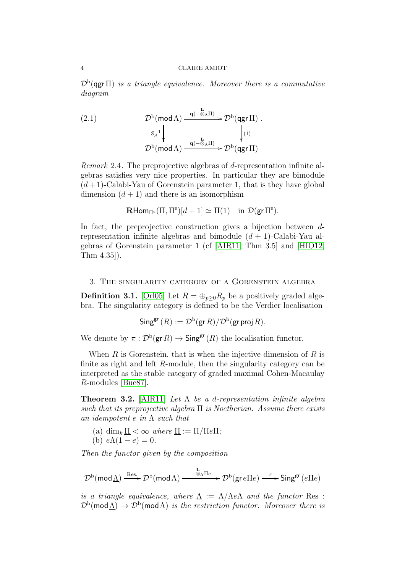$\mathcal{D}^{\rm b}(\texttt{qgr\,II})$  is a triangle equivalence. Moreover there is a commutative diagram

<span id="page-4-3"></span>(2.1) 
$$
\mathcal{D}^{b}(\text{mod }\Lambda) \xrightarrow{q(-\otimes_{\Lambda}\Pi)} \mathcal{D}^{b}(qgr\Pi).
$$

$$
\xrightarrow{\mathbb{S}_{d}^{-1}} \downarrow \qquad \qquad \downarrow (1)
$$

$$
\mathcal{D}^{b}(\text{mod }\Lambda) \xrightarrow{q(-\otimes_{\Lambda}\Pi)} \mathcal{D}^{b}(qgr\Pi)
$$

<span id="page-4-2"></span>Remark 2.4. The preprojective algebras of d-representation infinite algebras satisfies very nice properties. In particular they are bimodule  $(d+1)$ -Calabi-Yau of Gorenstein parameter 1, that is they have global dimension  $(d+1)$  and there is an isomorphism

$$
\mathbf{R}\text{Hom}_{\Pi^e}(\Pi,\Pi^e)[d+1] \simeq \Pi(1) \quad \text{in } \mathcal{D}(\mathsf{gr}\,\Pi^e).
$$

In fact, the preprojective construction gives a bijection between drepresentation infinite algebras and bimodule  $(d + 1)$ -Calabi-Yau algebras of Gorenstein parameter 1 (cf [\[AIR11,](#page-10-1) Thm 3.5] and [\[HIO12,](#page-10-2) Thm 4.35]).

<span id="page-4-0"></span>3. The singularity category of a Gorenstein algebra

**Definition 3.1.** [\[Orl05\]](#page-11-0) Let  $R = \bigoplus_{p>0} R_p$  be a positively graded algebra. The singularity category is defined to be the Verdier localisation

$$
\mathsf{Sing}^{\mathsf{gr}}(R) := \mathcal{D}^{\mathrm{b}}(\mathsf{gr}\,R)/\mathcal{D}^{\mathrm{b}}(\mathsf{gr}\,\mathsf{proj}\,R).
$$

We denote by  $\pi : \mathcal{D}^{\mathrm{b}}(\text{gr } R) \to \mathsf{Sing}^{\text{gr}}(R)$  the localisation functor.

When R is Gorenstein, that is when the injective dimension of R is finite as right and left R-module, then the singularity category can be interpreted as the stable category of graded maximal Cohen-Macaulay R-modules [\[Buc87\]](#page-10-5).

<span id="page-4-1"></span>**Theorem 3.2.** [\[AIR11\]](#page-10-1) Let  $\Lambda$  be a d-representation infinite algebra such that its preprojective algebra  $\Pi$  is Noetherian. Assume there exists an idempotent e in  $\Lambda$  such that

- (a) dim<sub>k</sub>  $\underline{\Pi} < \infty$  where  $\underline{\Pi} := \Pi / \Pi e \Pi$ ;
- (b)  $e\Lambda(1-e) = 0$ .

Then the functor given by the composition

$$
\mathcal{D}^{\rm b}(\mathsf{mod}\,\underline{\Lambda})\xrightarrow{\mathrm{Res.}}\mathcal{D}^{\rm b}(\mathsf{mod}\,\Lambda)\xrightarrow{\phantom{-}\underline{\Lambda}\Lambda\,\Pi e\phantom{.}}\mathcal{D}^{\rm b}(\mathsf{gr}\,e\Pi e)\xrightarrow{\phantom{-}\pi\phantom{.}}\mathsf{Sing}^{\rm gr}(e\Pi e)
$$

is a triangle equivalence, where  $\Lambda := \Lambda/\Lambda e\Lambda$  and the functor Res :  $\mathcal{D}^{\rm b}(\textsf{mod}\, \underline{\Lambda})\to \mathcal{D}^{\rm b}(\textsf{mod}\, \Lambda)$  is the restriction functor. Moreover there is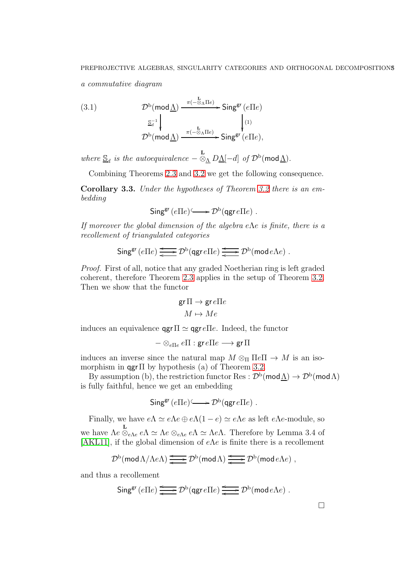a commutative diagram

<span id="page-5-1"></span>(3.1) 
$$
\mathcal{D}^{b}(\text{mod}\underline{\Lambda}) \xrightarrow{\pi(-\underline{\mathbb{S}}_{\Lambda}\Pi e)} \text{Sing}^{\text{gr}}(e\Pi e)
$$

$$
\xrightarrow{\underline{\mathbb{S}}_{d}^{-1}} \downarrow \qquad \qquad \downarrow (1)
$$

$$
\mathcal{D}^{b}(\text{mod}\underline{\Lambda}) \xrightarrow{\pi(-\underline{\mathbb{S}}_{\Lambda}\Pi e)} \text{Sing}^{\text{gr}}(e\Pi e),
$$

where  $\underline{\mathbb{S}}_d$  is the autoequivalence  $-\stackrel{\mathbf{L}}{\otimes}_{\underline{\Lambda}} D \underline{\Lambda} [-d]$  of  $\mathcal{D}^{\mathrm{b}}(\mathsf{mod}\underline{\Lambda})$ .

Combining Theorems [2.3](#page-3-1) and [3.2](#page-4-1) we get the following consequence.

<span id="page-5-0"></span>Corollary 3.3. Under the hypotheses of Theorem [3.2](#page-4-1) there is an embedding

$$
\mathsf{Sing}^{\mathsf{gr}}(e \Pi e) \longrightarrow \mathcal{D}^{\mathrm{b}}(\mathsf{qgr}\, e \Pi e) .
$$

If moreover the global dimension of the algebra e $\Lambda e$  is finite, there is a recollement of triangulated categories

$$
\mathsf{Sing}^{\mathsf{gr}}(e \Pi e) \xrightarrow{\longleftarrow} \mathcal{D}^{\mathrm{b}}(\mathsf{qgr}\, e \Pi e) \xrightarrow{\longleftarrow} \mathcal{D}^{\mathrm{b}}(\mathsf{mod}\, e \Lambda e) .
$$

Proof. First of all, notice that any graded Noetherian ring is left graded coherent, therefore Theorem [2.3](#page-3-1) applies in the setup of Theorem [3.2.](#page-4-1) Then we show that the functor

$$
\operatorname{gr}\Pi \to \operatorname{gr} e \Pi e
$$

$$
M \mapsto Me
$$

induces an equivalence  $qgr\Pi \simeq qgr e\Pi e$ . Indeed, the functor

$$
-\otimes_{e\Pi e}e\Pi:\text{gr}\, e\Pi e\longrightarrow \text{gr}\,\Pi
$$

induces an inverse since the natural map  $M \otimes_{\Pi} \Pi e \Pi \rightarrow M$  is an isomorphism in  $qgr \Pi$  by hypothesis (a) of Theorem [3.2.](#page-4-1)

By assumption (b), the restriction functor Res :  $\mathcal{D}^{b}(\text{mod }\Lambda) \to \mathcal{D}^{b}(\text{mod }\Lambda)$ is fully faithful, hence we get an embedding

$$
\mathsf{Sing}^{\mathsf{gr}}(e \Pi e) \longrightarrow \mathcal{D}^{\mathrm{b}}(\mathsf{qgr}\, e \Pi e) .
$$

Finally, we have  $e\Lambda \simeq e\Lambda e \oplus e\Lambda(1-e) \simeq e\Lambda e$  as left  $e\Lambda e$ -module, so we have  $\Lambda e \overset{\mathbf{L}}{\otimes}_{e\Lambda e} e\Lambda \simeq \Lambda e \otimes_{e\Lambda e} e\Lambda \simeq \Lambda e\Lambda$ . Therefore by Lemma 3.4 of [\[AKL11\]](#page-10-4), if the global dimension of  $e\Lambda e$  is finite there is a recollement

$$
\mathcal{D}^{\rm b}(\operatorname{mod} \Lambda/\Lambda e \Lambda) \xrightarrow{\longleftarrow} \mathcal{D}^{\rm b}(\operatorname{mod} \Lambda) \xrightarrow{\longleftarrow} \mathcal{D}^{\rm b}(\operatorname{mod} e \Lambda e) ,
$$

and thus a recollement

$$
\mathsf{Sing}^{\mathsf{gr}}(e \Pi e) \xrightarrow{\longleftarrow} \mathcal{D}^{\mathsf{b}}(\mathsf{qgr} \, e \Pi e) \xrightarrow{\longleftarrow} \mathcal{D}^{\mathsf{b}}(\mathsf{mod} \, e \Lambda e) .
$$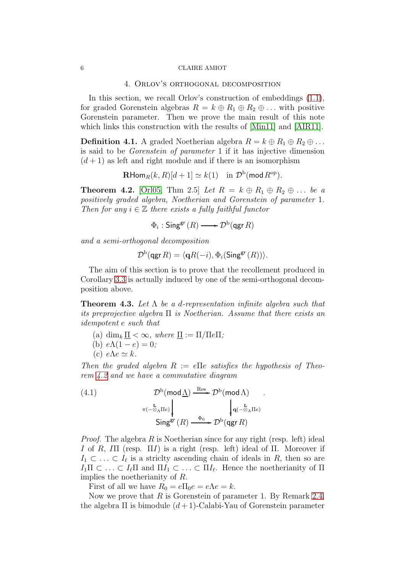#### <span id="page-6-0"></span>6 CLAIRE AMIOT

## 4. Orlov's orthogonal decomposition

In this section, we recall Orlov's construction of embeddings  $(1.1)$ , for graded Gorenstein algebras  $R = k \oplus R_1 \oplus R_2 \oplus \ldots$  with positive Gorenstein parameter. Then we prove the main result of this note which links this construction with the results of [\[Min11\]](#page-10-0) and [\[AIR11\]](#page-10-1).

**Definition 4.1.** A graded Noetherian algebra  $R = k \oplus R_1 \oplus R_2 \oplus \ldots$ is said to be Gorenstein of parameter 1 if it has injective dimension  $(d+1)$  as left and right module and if there is an isomorphism

 $\mathbf{R}\mathsf{Hom}_R(k,R)[d+1] \simeq k(1) \quad \text{in } \mathcal{D}^\mathrm{b}(\operatorname{\mathsf{mod}} R^\mathrm{op}).$ 

<span id="page-6-1"></span>**Theorem 4.2.** [\[Orl05,](#page-11-0) Thm 2.5] Let  $R = k \oplus R_1 \oplus R_2 \oplus \ldots$  be a positively graded algebra, Noetherian and Gorenstein of parameter 1. Then for any  $i \in \mathbb{Z}$  there exists a fully faithful functor

$$
\Phi_i : \mathsf{Sing}^{\mathsf{gr}}(R) \longrightarrow \mathcal{D}^{\mathrm{b}}(\mathsf{qgr}\,R)
$$

and a semi-orthogonal decomposition

$$
\mathcal{D}^{\operatorname{b}\nolimits}(\operatorname{\mathsf{qgr}} R)=\langle \operatorname{\mathsf{q}}\nolimits R(-i), \Phi_i(\operatorname{\mathsf{Sing}}^{\operatorname{\mathsf{gr}\nolimits}}(R)) \rangle.
$$

The aim of this section is to prove that the recollement produced in Corollary [3.3](#page-5-0) is actually induced by one of the semi-orthogonal decomposition above.

<span id="page-6-3"></span>**Theorem 4.3.** Let  $\Lambda$  be a d-representation infinite algebra such that its preprojective algebra  $\Pi$  is Noetherian. Assume that there exists an idempotent e such that

- (a) dim<sub>k</sub>  $\Pi < \infty$ , where  $\Pi := \Pi / \Pi e \Pi$ ;
- (b)  $e\Lambda(1-e) = 0$ ;
- (c)  $e\Lambda e \simeq k$ .

Then the graded algebra  $R := e \Pi e$  satisfies the hypothesis of Theorem [4.2](#page-6-1) and we have a commutative diagram

.

<span id="page-6-2"></span>(4.1) 
$$
\mathcal{D}^{b}(\text{mod }\underline{\Lambda}) \xrightarrow{\text{Res}} \mathcal{D}^{b}(\text{mod }\Lambda)
$$

$$
\pi(-\overline{\otimes}_{\Lambda}\Pi_{e}) \qquad \qquad \downarrow \mathbf{q}(-\overline{\otimes}_{\Lambda}\Pi_{e})
$$

$$
\text{Sing}^{\text{gr}}(R) \xrightarrow{\Phi_{0}} \mathcal{D}^{b}(\text{qgr }R)
$$

*Proof.* The algebra  $R$  is Noetherian since for any right (resp. left) ideal I of R, III (resp.  $\Pi I$ ) is a right (resp. left) ideal of  $\Pi$ . Moreover if  $I_1 \subset \ldots \subset I_\ell$  is a strictly ascending chain of ideals in R, then so are  $I_1\Pi \subset \ldots \subset I_\ell\Pi$  and  $\Pi I_1 \subset \ldots \subset \Pi I_\ell$ . Hence the noetherianity of  $\Pi$ implies the noetherianity of R.

First of all we have  $R_0 = e \Pi_0 e = e \Lambda e = k$ .

Now we prove that  $R$  is Gorenstein of parameter 1. By Remark [2.4,](#page-4-2) the algebra  $\Pi$  is bimodule  $(d+1)$ -Calabi-Yau of Gorenstein parameter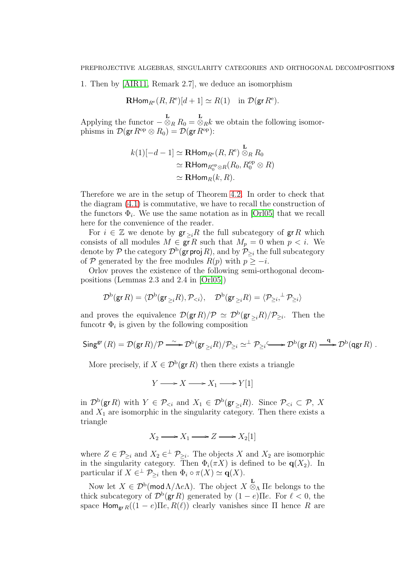1. Then by [\[AIR11,](#page-10-1) Remark 2.7], we deduce an isomorphism

$$
\mathbf{R}\text{Hom}_{R^e}(R, R^e)[d+1] \simeq R(1) \quad \text{in } \mathcal{D}(\mathsf{gr} R^e).
$$

Applying the functor  $-\overset{\mathbf{L}}{\otimes}_R R_0 = \overset{\mathbf{L}}{\otimes}_R k$  we obtain the following isomorphisms in  $\mathcal{D}(\mathsf{gr}\, R^{\rm op}\otimes R_0)=\mathcal{D}(\mathsf{gr}\, R^{\rm op})$ :

$$
k(1)[-d-1] \simeq \mathbf{R}\text{Hom}_{R^e}(R, R^e) \overset{\mathbf{L}}{\otimes}_R R_0
$$
  
\simeq \mathbf{R}\text{Hom}\_{R\_0^{\text{op}} \otimes R}(R\_0, R\_0^{\text{op}} \otimes R)   
\simeq \mathbf{R}\text{Hom}\_R(k, R).

Therefore we are in the setup of Theorem [4.2.](#page-6-1) In order to check that the diagram [\(4.1\)](#page-6-2) is commutative, we have to recall the construction of the functors  $\Phi_i$ . We use the same notation as in [\[Orl05\]](#page-11-0) that we recall here for the convenience of the reader.

For  $i \in \mathbb{Z}$  we denote by  $\mathsf{gr}_{\geq i}R$  the full subcategory of  $\mathsf{gr} R$  which consists of all modules  $M \in \mathbf{gr} R$  such that  $M_p = 0$  when  $p < i$ . We denote by  $\mathcal P$  the category  $\mathcal D^{\mathrm b}(\mathsf{gr}\,\mathsf{proj}\,R),$  and by  $\mathcal P_{\geq i}$  the full subcategory of P generated by the free modules  $R(p)$  with  $p \geq -i$ .

Orlov proves the existence of the following semi-orthogonal decompositions (Lemmas 2.3 and 2.4 in [\[Orl05\]](#page-11-0))

$$
\mathcal{D}^{\rm b}(\operatorname{gr} R)=\langle \mathcal{D}^{\rm b}(\operatorname{gr}_{\geq i} R), \mathcal{P}_{
$$

and proves the equivalence  $\mathcal{D}(\mathsf{gr}\,R)/\mathcal{P} \simeq \mathcal{D}^{\rm b}(\mathsf{gr}_{\geq i}R)/\mathcal{P}_{\geq i}$ . Then the funcotr  $\Phi_i$  is given by the following composition

$$
\operatorname{Sing}^{\operatorname{gr}}(R) = \mathcal{D}(\operatorname{gr} R)/\mathcal{P} \xrightarrow{\sim} \mathcal{D}^{\operatorname{b}}(\operatorname{gr}_{\geq i} R)/\mathcal{P}_{\geq i} \simeq^{\perp} \mathcal{P}_{\geq i} \xrightarrow{\sim} \mathcal{D}^{\operatorname{b}}(\operatorname{gr} R) \xrightarrow{\operatorname{q}} \mathcal{D}^{\operatorname{b}}(\operatorname{qgr} R) \ .
$$

More precisely, if  $X \in \mathcal{D}^{\mathsf{b}}(\mathsf{gr}\,R)$  then there exists a triangle

$$
Y \longrightarrow X \longrightarrow X_1 \longrightarrow Y[1]
$$

in  $\mathcal{D}^{\rm b}(\text{gr } R)$  with  $Y \in \mathcal{P}_{\leq i}$  and  $X_1 \in \mathcal{D}^{\rm b}(\text{gr}_{\geq i}R)$ . Since  $\mathcal{P}_{\leq i} \subset \mathcal{P}, X$ and  $X_1$  are isomorphic in the singularity category. Then there exists a triangle

$$
X_2 \longrightarrow X_1 \longrightarrow Z \longrightarrow X_2[1]
$$

where  $Z \in \mathcal{P}_{\geq i}$  and  $X_2 \in \perp \mathcal{P}_{\geq i}$ . The objects X and  $X_2$  are isomorphic in the singularity category. Then  $\Phi_i(\pi X)$  is defined to be  $\mathbf{q}(X_2)$ . In particular if  $X \in^{\perp} \mathcal{P}_{\geq i}$  then  $\Phi_i \circ \pi(X) \simeq \mathbf{q}(X)$ .

Now let  $X \in \mathcal{D}^{\rm b}(\text{mod }\Lambda/\Lambda e\Lambda)$ . The object  $X \otimes_{\Lambda} \Pi e$  belongs to the thick subcategory of  $\mathcal{D}^{\rm b}(\mathsf{gr}\,R)$  generated by  $(1-e)\Pi e$ . For  $\ell < 0$ , the space Hom<sub>gr R</sub>( $(1 - e)$ Πe, R( $\ell$ )) clearly vanishes since Π hence R are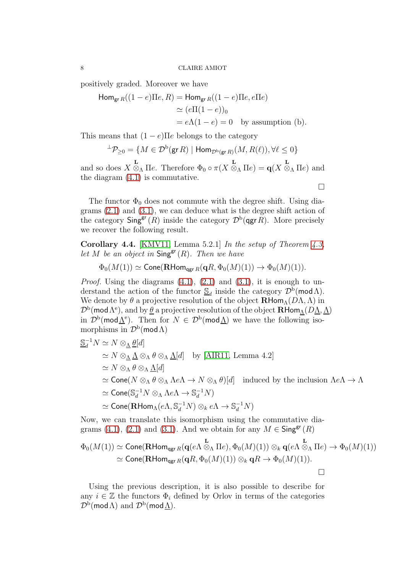positively graded. Moreover we have

Hom<sub>gr R</sub>
$$
( (1 - e) \Pi e, R)
$$
 = Hom<sub>gr R</sub> $( (1 - e) \Pi e, e \Pi e)$   
\n $\simeq (e \Pi (1 - e))_0$   
\n $= e \Lambda (1 - e) = 0$  by assumption (b).

This means that  $(1 - e)$ Πe belongs to the category

$$
{}^{\perp}\mathcal{P}_{\geq 0} = \{ M \in \mathcal{D}^{\mathrm{b}}(\mathsf{gr}\,R) \mid \mathsf{Hom}_{\mathcal{D}^{\mathrm{b}}(\mathsf{gr}\,R)}(M,R(\ell)), \forall \ell \leq 0 \}
$$

and so does  $X \overset{\mathbf{L}}{\otimes}_{\Lambda} \Pi e$ . Therefore  $\Phi_0 \circ \pi(X \overset{\mathbf{L}}{\otimes}_{\Lambda} \Pi e) = \mathbf{q}(X \overset{\mathbf{L}}{\otimes}_{\Lambda} \Pi e)$  and the diagram [\(4.1\)](#page-6-2) is commutative.  $\Box$ 

The functor  $\Phi_0$  does not commute with the degree shift. Using diagrams [\(2.1\)](#page-4-3) and [\(3.1\)](#page-5-1), we can deduce what is the degree shift action of the category  $\mathsf{Sing}^{\mathsf{gr}}(R)$  inside the category  $\mathcal{D}^{\mathsf{b}}(\mathsf{qgr} R)$ . More precisely we recover the following result.

Corollary 4.4. [\[KMV11,](#page-10-3) Lemma 5.2.1] In the setup of Theorem  $4.3$ , let M be an object in  $\mathsf{Sing}^{\mathsf{gr}}(R)$ . Then we have

$$
\Phi_0(M(1)) \simeq \mathsf{Cone}(\mathbf{R}\mathsf{Hom}_{\mathsf{qgr}\,R}(\mathbf{q}R,\Phi_0(M)(1)) \to \Phi_0(M)(1)).
$$

*Proof.* Using the diagrams  $(4.1)$ ,  $(2.1)$  and  $(3.1)$ , it is enough to understand the action of the functor  $\mathcal{S}_d$  inside the category  $\mathcal{D}^{\bar{b}}(\text{mod }\Lambda)$ . We denote by  $\theta$  a projective resolution of the object  $\mathbf{R}\text{Hom}_{\Lambda}(D\Lambda,\Lambda)$  in  $\mathcal{D}^{\rm b}(\textsf{mod}\,\Lambda^{\rm e}),$  and by  $\underline{\theta}$  a projective resolution of the object  $\mathbf{R}\mathsf{Hom}_{\underline{\Lambda}}(D\underline{\Lambda},\underline{\Lambda})$ in  $\mathcal{D}^{\rm b}(\text{mod}\underline{\Lambda}^{\rm e})$ . Then for  $N \in \mathcal{D}^{\rm b}(\text{mod}\underline{\Lambda})$  we have the following isomorphisms in  $\mathcal{D}^{\rm b}(\mathsf{mod}\,\Lambda)$ 

$$
\begin{aligned}\n\mathbf{S}_d^{-1} N &\simeq N \otimes_{\Lambda} \underline{\theta}[d] \\
&\simeq N \otimes_{\Lambda} \underline{\Lambda} \otimes_{\Lambda} \theta \otimes_{\Lambda} \underline{\Lambda}[d] \quad \text{by [AIR11, Lemma 4.2]} \\
&\simeq N \otimes_{\Lambda} \theta \otimes_{\Lambda} \underline{\Lambda}[d] \\
&\simeq \text{Cone}(N \otimes_{\Lambda} \theta \otimes_{\Lambda} \Lambda e\Lambda \to N \otimes_{\Lambda} \theta)[d] \quad \text{induced by the inclusion } \Lambda e\Lambda \to \Lambda \\
&\simeq \text{Cone}(\mathbb{S}_d^{-1} N \otimes_{\Lambda} \Lambda e\Lambda \to \mathbb{S}_d^{-1} N) \\
&\simeq \text{Cone}(\mathbf{R}\text{Hom}_{\Lambda}(e\Lambda, \mathbb{S}_d^{-1} N) \otimes_k e\Lambda \to \mathbb{S}_d^{-1} N)\n\end{aligned}
$$

Now, we can translate this isomorphism using the commutative dia-grams [\(4.1\)](#page-6-2), [\(2.1\)](#page-4-3) and [\(3.1\)](#page-5-1). And we obtain for any  $M \in \mathsf{Sing}^{\mathsf{gr}}(R)$ 

$$
\Phi_0(M(1)) \simeq \text{Cone}(\mathbf{R}\text{Hom}_{\text{qgr }R}(\mathbf{q}(e\Lambda \overset{\mathbf{L}}{\otimes}_{\Lambda} \Pi e), \Phi_0(M)(1)) \otimes_k \mathbf{q}(e\Lambda \overset{\mathbf{L}}{\otimes}_{\Lambda} \Pi e) \to \Phi_0(M)(1))
$$
  
\simeq \text{Cone}(\mathbf{R}\text{Hom}\_{\text{qgr }R}(\mathbf{q}R, \Phi\_0(M)(1)) \otimes\_k \mathbf{q}R \to \Phi\_0(M)(1)).

Using the previous description, it is also possible to describe for any  $i \in \mathbb{Z}$  the functors  $\Phi_i$  defined by Orlov in terms of the categories  $\mathcal{D}^{\rm b}(\mathsf{mod}\,\Lambda)$  and  $\mathcal{D}^{\rm b}(\mathsf{mod}\,\underline{\Lambda}).$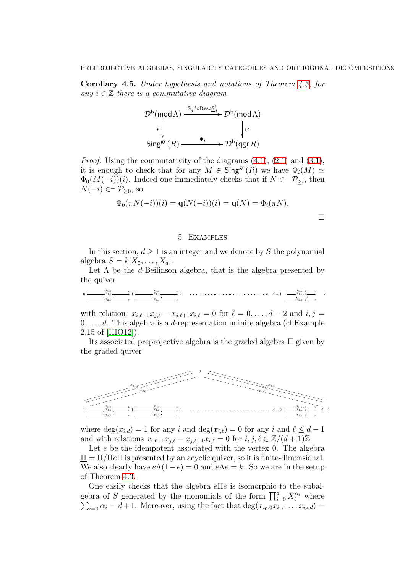Corollary 4.5. Under hypothesis and notations of Theorem [4.3,](#page-6-3) for any  $i \in \mathbb{Z}$  there is a commutative diagram

$$
\mathcal{D}^{\mathrm{b}}(\mathrm{mod}\,\underline{\Lambda})\xrightarrow{\mathrm{S}_{d}^{-i}\circ\mathrm{Res}\circ\underline{\mathrm{S}}_{d}^{i}}\mathcal{D}^{\mathrm{b}}(\mathrm{mod}\,\Lambda)
$$
\n
$$
\downarrow_{F}\downarrow\downarrow_{G}
$$
\n
$$
\mathrm{Sing}^{\mathrm{gr}}(R)\xrightarrow{\Phi_{i}}\mathcal{D}^{\mathrm{b}}(\mathrm{qgr}\,R)
$$

*Proof.* Using the commutativity of the diagrams  $(4.1)$ ,  $(2.1)$  and  $(3.1)$ , it is enough to check that for any  $M \in \mathsf{Sing}^{\mathsf{gr}}(R)$  we have  $\Phi_i(M) \simeq$  $\Phi_0(M(-i))(i)$ . Indeed one immediately checks that if  $N \in \mathcal{P}_{\geq i}$ , then  $N(-i) \in \perp \mathcal{P}_{\geq 0}$ , so

$$
\Phi_0(\pi N(-i))(i) = \mathbf{q}(N(-i))(i) = \mathbf{q}(N) = \Phi_i(\pi N).
$$

## 5. Examples

<span id="page-9-0"></span>In this section,  $d > 1$  is an integer and we denote by S the polynomial algebra  $S = k[X_0, \ldots, X_d]$ .

Let  $\Lambda$  be the d-Beilinson algebra, that is the algebra presented by the quiver

0 1 2 d − 1 d x0,<sup>0</sup> x1,<sup>0</sup> xd,<sup>0</sup> x0,<sup>1</sup> x1,<sup>1</sup> xd,<sup>1</sup> x0,d−<sup>1</sup> x1,d−<sup>1</sup> xd,d−<sup>1</sup>

with relations  $x_{i,\ell+1}x_{j,\ell}-x_{j,\ell+1}x_{i,\ell}=0$  for  $\ell=0,\ldots,d-2$  and  $i,j=$  $0, \ldots, d$ . This algebra is a *d*-representation infinite algebra (cf Example 2.15 of [\[HIO12\]](#page-10-2)).

Its associated preprojective algebra is the graded algebra Π given by the graded quiver



where  $\deg(x_{i,d}) = 1$  for any i and  $\deg(x_{i,\ell}) = 0$  for any i and  $\ell \leq d-1$ and with relations  $x_{i,\ell+1}x_{j,\ell}-x_{j,\ell+1}x_{i,\ell}=0$  for  $i, j, \ell \in \mathbb{Z}/(d+1)\mathbb{Z}$ .

Let e be the idempotent associated with the vertex 0. The algebra  $\Pi = \Pi / \Pi e \Pi$  is presented by an acyclic quiver, so it is finite-dimensional. We also clearly have  $e\Lambda(1-e) = 0$  and  $e\Lambda e = k$ . So we are in the setup of Theorem [4.3.](#page-6-3)

One easily checks that the algebra eΠe is isomorphic to the subalgebra of S generated by the monomials of the form  $\prod_{i=0}^{d} X_i^{\alpha_i}$  where  $\sum_{i=0} \alpha_i = d+1$ . Moreover, using the fact that  $\deg(x_{i_0,0}x_{i_1,1} \ldots x_{i_d,d}) =$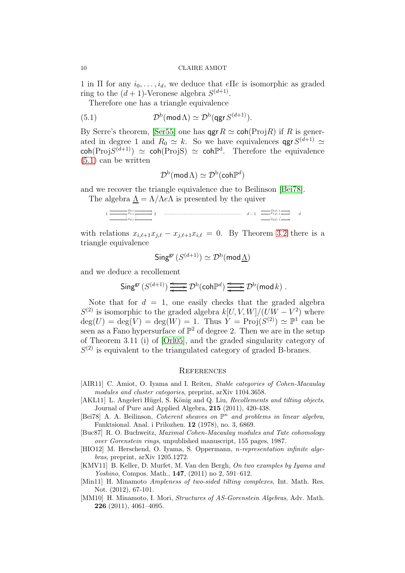1 in Π for any  $i_0, \ldots, i_d$ , we deduce that  $e \Pi e$  is isomorphic as graded ring to the  $(d+1)$ -Veronese algebra  $S^{(d+1)}$ .

Therefore one has a triangle equivalence

(5.1) 
$$
\mathcal{D}^{\mathrm{b}}(\mathsf{mod}\,\Lambda) \simeq \mathcal{D}^{\mathrm{b}}(\mathsf{qgr}\,S^{(d+1)}).
$$

By Serre's theorem, [\[Ser55\]](#page-11-1) one has  $\mathsf{qgr}\,R \simeq \mathsf{coh}(\mathrm{Proj} R)$  if R is generated in degree 1 and  $R_0 \simeq k$ . So we have equivalences  $\mathsf{qgr} S^{(d+1)} \simeq$  $\text{coh}(\text{Proj}S^{(d+1)}) \simeq \text{coh}(\text{Proj}S) \simeq \text{coh}\mathbb{P}^d$ . Therefore the equivalence [\(5.1\)](#page-10-6) can be written

<span id="page-10-6"></span>
$$
\mathcal{D}^{\mathrm{b}}(\mathsf{mod}\,\Lambda)\simeq\mathcal{D}^{\mathrm{b}}(\mathsf{coh}\mathbb{P}^d)
$$

and we recover the triangle equivalence due to Beilinson [\[Bei78\]](#page-10-7). The algebra  $\Lambda = \Lambda/\Lambda e\Lambda$  is presented by the quiver

$$
1\underbrace{\overbrace{\qquad \qquad x_{1,1}}^{x_{0,1}} \qquad \qquad}_{x_{d,1}} \qquad \qquad 2 \qquad \qquad \qquad d-1 \qquad \overbrace{\qquad \qquad x_{1,d-1}}^{x_{0,d-1}} \qquad \qquad d}{\qquad \qquad d-1 \qquad \qquad d-1 \qquad \qquad d}{\qquad \qquad x_{d,d-1}} \qquad \qquad d-1 \qquad \qquad d-1 \qquad \qquad d-1 \qquad \qquad d-1 \qquad \qquad d-1 \qquad \qquad d-1 \qquad \qquad d-1 \qquad \qquad d-1 \qquad \qquad d-1 \qquad \qquad d-1 \qquad \qquad d-1 \qquad \qquad d-1 \qquad \qquad d-1 \qquad \qquad d-1 \qquad \qquad d-1 \qquad \qquad d-1 \qquad \qquad d-1 \qquad \qquad d-1 \qquad \qquad d-1 \qquad \qquad d-1 \qquad \qquad d-1 \qquad \qquad d-1 \qquad \qquad d-1 \qquad \qquad d-1 \qquad \qquad d-1 \qquad \qquad d-1 \qquad \qquad d-1 \qquad \qquad d-1 \qquad \qquad d-1 \qquad \qquad d-1 \qquad \qquad d-1 \qquad \qquad d-1 \qquad \qquad d-1 \qquad \qquad d-1 \qquad \qquad d-1 \qquad \qquad d-1 \qquad \qquad d-1 \qquad \qquad d-1 \qquad \qquad d-1 \qquad \qquad d-1 \qquad \qquad d-1 \qquad \qquad d-1 \qquad \qquad d-1 \qquad \qquad d-1 \qquad \qquad d-1 \qquad \qquad d-1 \qquad \qquad d-1 \qquad \qquad d-1 \qquad \qquad d-1 \qquad \qquad d-1 \qquad \qquad d-1 \qquad \qquad d-1 \qquad \qquad d-1 \qquad \qquad d-1 \qquad \qquad d-1 \qquad \qquad d-1 \qquad \qquad d-1 \qquad \qquad d-1 \qquad \qquad d-1 \qquad \qquad d-1 \qquad \qquad d-1 \qquad \qquad d-1 \qquad \qquad d-1 \qquad \qquad d-1 \qquad \qquad d-1 \qquad \qquad d-1 \qquad \qquad d-1 \qquad \qquad d-1 \qquad \qquad d-1 \qquad \q
$$

with relations  $x_{i,\ell+1}x_{i,\ell} - x_{i,\ell+1}x_{i,\ell} = 0$ . By Theorem [3.2](#page-4-1) there is a triangle equivalence

$$
\mathsf{Sing}^{\mathsf{gr}}\,(S^{(d+1)}) \simeq \mathcal{D}^{\mathrm{b}}(\mathsf{mod}\,\underline{\Lambda})
$$

and we deduce a recollement

$$
\operatorname{Sing}^{\operatorname{gr}}\big(S^{(d+1)}\big)\xrightarrow{\longleftarrow} \mathcal{D}^{\operatorname{b}}(\operatorname{coh}\mathbb{P}^d)\xrightarrow{\longleftarrow} \mathcal{D}^{\operatorname{b}}(\operatorname{mod} k)\ .
$$

Note that for  $d = 1$ , one easily checks that the graded algebra  $S^{(2)}$  is isomorphic to the graded algebra  $k[U, V, W]/(UW - V^2)$  where  $deg(U) = deg(V) = deg(W) = 1$ . Thus  $Y = Proj(S^{(2)}) \simeq \mathbb{P}^1$  can be seen as a Fano hypersurface of  $\mathbb{P}^2$  of degree 2. Then we are in the setup of Theorem 3.11 (i) of [\[Orl05\]](#page-11-0), and the graded singularity category of  $S<sup>(2)</sup>$  is equivalent to the triangulated category of graded B-branes.

## **REFERENCES**

- <span id="page-10-1"></span>[AIR11] C. Amiot, O. Iyama and I. Reiten, *Stable categories of Cohen-Macaulay* modules and cluster categories, preprint, arXiv 1104.3658.
- <span id="page-10-4"></span>[AKL11] L. Angeleri Hügel, S. König and Q. Liu, Recollements and tilting objects, Journal of Pure and Applied Algebra, 215 (2011), 420-438.
- <span id="page-10-7"></span>[Bei78] A. A. Beilinson, *Coherent sheaves on*  $\mathbb{P}^n$  and problems in linear algebra, Funktsional. Anal. i Prilozhen. 12 (1978), no. 3, 6869.
- <span id="page-10-5"></span>[Buc87] R. O. Buchweitz, Maximal Cohen-Macaulay modules and Tate cohomology over Gorenstein rings, unpublished manuscript, 155 pages, 1987.
- <span id="page-10-2"></span>[HIO12] M. Herschend, O. Iyama, S. Oppermann, n-representation infinite algebras, preprint, arXiv 1205.1272.
- <span id="page-10-3"></span>[KMV11] B. Keller, D. Murfet, M. Van den Bergh, On two examples by Iyama and Yoshino, Compos. Math., 147, (2011) no 2, 591–612.
- <span id="page-10-0"></span>[Min11] H. Minamoto *Ampleness of two-sided tilting complexes*, Int. Math. Res. Not. (2012), 67-101.
- [MM10] H. Minamoto, I. Mori, *Structures of AS-Gorenstein Algebras*, Adv. Math. 226 (2011), 4061–4095.